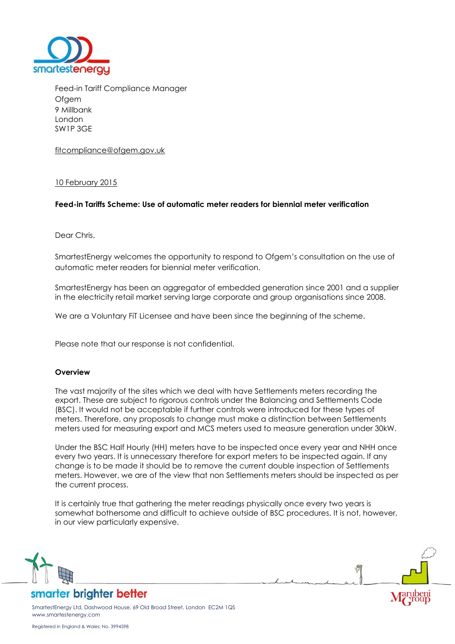

Feed-in Tariff Compliance Manager **Ofgem** 9 Millbank London SW1P 3GE

[fitcompliance@ofgem.gov.uk](mailto:sustainable.energy@ofgem.gov.uk)

### 10 February 2015

### **Feed-in Tariffs Scheme: Use of automatic meter readers for biennial meter verification**

Dear Chris,

SmartestEnergy welcomes the opportunity to respond to Ofgem's consultation on the use of automatic meter readers for biennial meter verification.

SmartestEnergy has been an aggregator of embedded generation since 2001 and a supplier in the electricity retail market serving large corporate and group organisations since 2008.

We are a Voluntary FiT Licensee and have been since the beginning of the scheme.

Please note that our response is not confidential.

#### **Overview**

The vast majority of the sites which we deal with have Settlements meters recording the export. These are subject to rigorous controls under the Balancing and Settlements Code (BSC). It would not be acceptable if further controls were introduced for these types of meters. Therefore, any proposals to change must make a distinction between Settlements meters used for measuring export and MCS meters used to measure generation under 30kW.

Under the BSC Half Hourly (HH) meters have to be inspected once every year and NHH once every two years. It is unnecessary therefore for export meters to be inspected again. If any change is to be made it should be to remove the current double inspection of Settlements meters. However, we are of the view that non Settlements meters should be inspected as per the current process.

It is certainly true that gathering the meter readings physically once every two years is somewhat bothersome and difficult to achieve outside of BSC procedures. It is not, however, in our view particularly expensive.

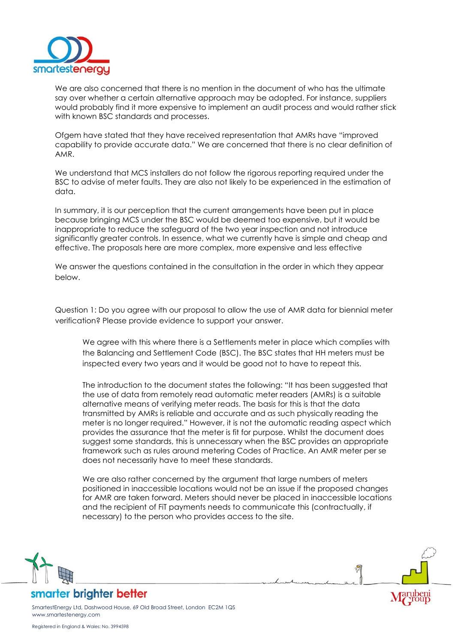

We are also concerned that there is no mention in the document of who has the ultimate say over whether a certain alternative approach may be adopted. For instance, suppliers would probably find it more expensive to implement an audit process and would rather stick with known BSC standards and processes.

Ofgem have stated that they have received representation that AMRs have "improved capability to provide accurate data." We are concerned that there is no clear definition of AMR.

We understand that MCS installers do not follow the rigorous reporting required under the BSC to advise of meter faults. They are also not likely to be experienced in the estimation of data.

In summary, it is our perception that the current arrangements have been put in place because bringing MCS under the BSC would be deemed too expensive, but it would be inappropriate to reduce the safeguard of the two year inspection and not introduce significantly greater controls. In essence, what we currently have is simple and cheap and effective. The proposals here are more complex, more expensive and less effective

We answer the questions contained in the consultation in the order in which they appear below.

Question 1: Do you agree with our proposal to allow the use of AMR data for biennial meter verification? Please provide evidence to support your answer.

We agree with this where there is a Settlements meter in place which complies with the Balancing and Settlement Code (BSC). The BSC states that HH meters must be inspected every two years and it would be good not to have to repeat this.

The introduction to the document states the following: "It has been suggested that the use of data from remotely read automatic meter readers (AMRs) is a suitable alternative means of verifying meter reads. The basis for this is that the data transmitted by AMRs is reliable and accurate and as such physically reading the meter is no longer required." However, it is not the automatic reading aspect which provides the assurance that the meter is fit for purpose. Whilst the document does suggest some standards, this is unnecessary when the BSC provides an appropriate framework such as rules around metering Codes of Practice. An AMR meter per se does not necessarily have to meet these standards.

We are also rather concerned by the argument that large numbers of meters positioned in inaccessible locations would not be an issue if the proposed changes for AMR are taken forward. Meters should never be placed in inaccessible locations and the recipient of FiT payments needs to communicate this (contractually, if necessary) to the person who provides access to the site.



smarter brighter better

SmartestEnergy Ltd, Dashwood House, 69 Old Broad Street, London EC2M 1QS www.smartestenergy.com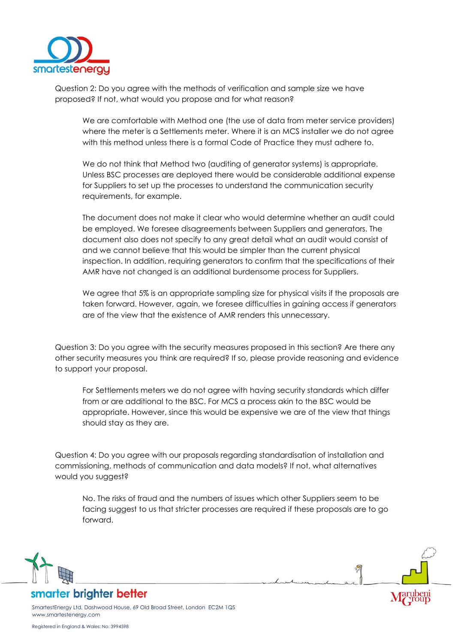

Question 2: Do you agree with the methods of verification and sample size we have proposed? If not, what would you propose and for what reason?

We are comfortable with Method one (the use of data from meter service providers) where the meter is a Settlements meter. Where it is an MCS installer we do not agree with this method unless there is a formal Code of Practice they must adhere to.

We do not think that Method two (auditing of generator systems) is appropriate. Unless BSC processes are deployed there would be considerable additional expense for Suppliers to set up the processes to understand the communication security requirements, for example.

The document does not make it clear who would determine whether an audit could be employed. We foresee disagreements between Suppliers and generators. The document also does not specify to any great detail what an audit would consist of and we cannot believe that this would be simpler than the current physical inspection. In addition, requiring generators to confirm that the specifications of their AMR have not changed is an additional burdensome process for Suppliers.

We agree that 5% is an appropriate sampling size for physical visits if the proposals are taken forward. However, again, we foresee difficulties in gaining access if generators are of the view that the existence of AMR renders this unnecessary.

Question 3: Do you agree with the security measures proposed in this section? Are there any other security measures you think are required? If so, please provide reasoning and evidence to support your proposal.

For Settlements meters we do not agree with having security standards which differ from or are additional to the BSC. For MCS a process akin to the BSC would be appropriate. However, since this would be expensive we are of the view that things should stay as they are.

Question 4: Do you agree with our proposals regarding standardisation of installation and commissioning, methods of communication and data models? If not, what alternatives would you suggest?

No. The risks of fraud and the numbers of issues which other Suppliers seem to be facing suggest to us that stricter processes are required if these proposals are to go forward.



smarter brighter better

SmartestEnergy Ltd, Dashwood House, 69 Old Broad Street, London EC2M 1QS www.smartestenergy.com